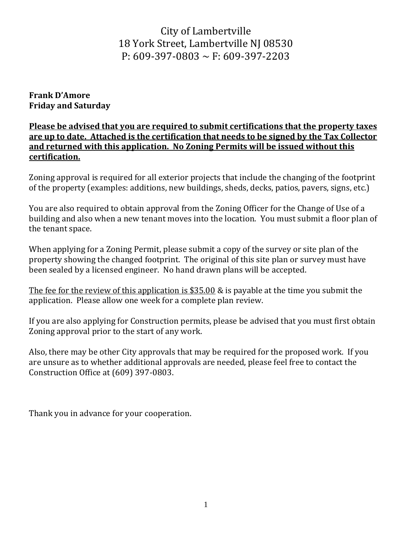## City of Lambertville 18 York Street, Lambertville NJ 08530 P:  $609-397-0803 \sim F: 609-397-2203$

**Frank D'Amore Friday and Saturday** 

**Please be advised that you are required to submit certifications that the property taxes are up to date. Attached is the certification that needs to be signed by the Tax Collector and returned with this application. No Zoning Permits will be issued without this certification.**

Zoning approval is required for all exterior projects that include the changing of the footprint of the property (examples: additions, new buildings, sheds, decks, patios, pavers, signs, etc.)

You are also required to obtain approval from the Zoning Officer for the Change of Use of a building and also when a new tenant moves into the location. You must submit a floor plan of the tenant space.

When applying for a Zoning Permit, please submit a copy of the survey or site plan of the property showing the changed footprint. The original of this site plan or survey must have been sealed by a licensed engineer. No hand drawn plans will be accepted.

The fee for the review of this application is \$35.00 & is payable at the time you submit the application. Please allow one week for a complete plan review.

If you are also applying for Construction permits, please be advised that you must first obtain Zoning approval prior to the start of any work.

Also, there may be other City approvals that may be required for the proposed work. If you are unsure as to whether additional approvals are needed, please feel free to contact the Construction Office at (609) 397-0803.

Thank you in advance for your cooperation.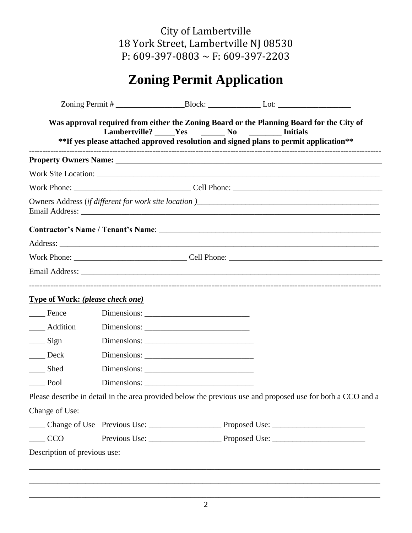City of Lambertville 18 York Street, Lambertville NJ 08530 P: 609-397-0803 ~ F: 609-397-2203

## **Zoning Permit Application**

|                                                                                              | Lambertville? Yes No | Was approval required from either the Zoning Board or the Planning Board for the City of<br><b>Example 1 Initials</b><br>**If yes please attached approved resolution and signed plans to permit application** |
|----------------------------------------------------------------------------------------------|----------------------|----------------------------------------------------------------------------------------------------------------------------------------------------------------------------------------------------------------|
|                                                                                              |                      |                                                                                                                                                                                                                |
|                                                                                              |                      |                                                                                                                                                                                                                |
|                                                                                              |                      |                                                                                                                                                                                                                |
|                                                                                              |                      |                                                                                                                                                                                                                |
|                                                                                              |                      |                                                                                                                                                                                                                |
|                                                                                              |                      |                                                                                                                                                                                                                |
|                                                                                              |                      | Work Phone: Cell Phone: Cell Phone:                                                                                                                                                                            |
|                                                                                              |                      |                                                                                                                                                                                                                |
| <b>Type of Work: (please check one)</b>                                                      |                      |                                                                                                                                                                                                                |
| Fence                                                                                        |                      |                                                                                                                                                                                                                |
| ___ Addition                                                                                 |                      |                                                                                                                                                                                                                |
| $\frac{\ }{\ }$ Sign                                                                         |                      |                                                                                                                                                                                                                |
| $\rule{1em}{0.15mm} \n    \frac{1}{2} \n    \frac{1}{2} \n    \frac{1}{2} \n    \frac{1}{2}$ |                      |                                                                                                                                                                                                                |
| ___ Shed                                                                                     |                      |                                                                                                                                                                                                                |
| $\rule{1em}{0.15mm}$ Pool                                                                    |                      |                                                                                                                                                                                                                |
|                                                                                              |                      | Please describe in detail in the area provided below the previous use and proposed use for both a CCO and a                                                                                                    |
| Change of Use:                                                                               |                      |                                                                                                                                                                                                                |
|                                                                                              |                      |                                                                                                                                                                                                                |
| <b>CCO</b>                                                                                   |                      |                                                                                                                                                                                                                |
| Description of previous use:                                                                 |                      |                                                                                                                                                                                                                |
|                                                                                              |                      |                                                                                                                                                                                                                |
|                                                                                              |                      |                                                                                                                                                                                                                |